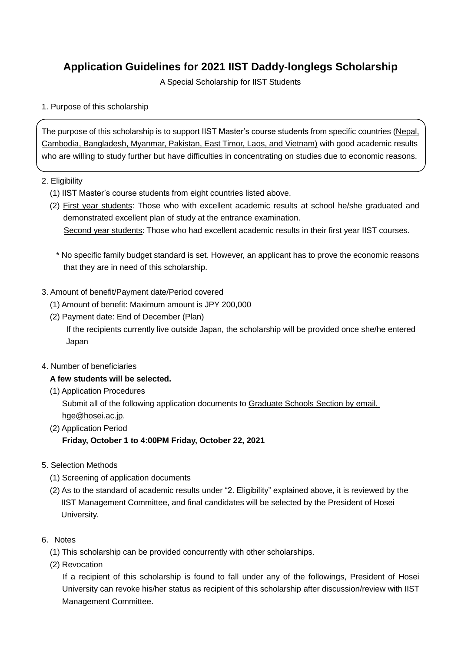# **Application Guidelines for 2021 IIST Daddy-longlegs Scholarship**

A Special Scholarship for IIST Students

#### 1. Purpose of this scholarship

The purpose of this scholarship is to support IIST Master's course students from specific countries (Nepal, Cambodia, Bangladesh, Myanmar, Pakistan, East Timor, Laos, and Vietnam) with good academic results who are willing to study further but have difficulties in concentrating on studies due to economic reasons.

#### 2. Eligibility

- (1) IIST Master's course students from eight countries listed above.
- (2) First year students: Those who with excellent academic results at school he/she graduated and demonstrated excellent plan of study at the entrance examination. Second year students: Those who had excellent academic results in their first year IIST courses.

\* No specific family budget standard is set. However, an applicant has to prove the economic reasons that they are in need of this scholarship.

- 3. Amount of benefit/Payment date/Period covered
	- (1) Amount of benefit: Maximum amount is JPY 200,000
	- (2) Payment date: End of December (Plan)

If the recipients currently live outside Japan, the scholarship will be provided once she/he entered Japan

4. Number of beneficiaries

## **A few students will be selected.**

(1) Application Procedures

Submit all of the following application documents to Graduate Schools Section by email, hge@hosei.ac.jp.

- (2) Application Period **Friday, October 1 to 4:00PM Friday, October 22, 2021**
- 5. Selection Methods
	- (1) Screening of application documents
	- (2) As to the standard of academic results under "2. Eligibility" explained above, it is reviewed by the IIST Management Committee, and final candidates will be selected by the President of Hosei University.
- 6. Notes
	- (1) This scholarship can be provided concurrently with other scholarships.
	- (2) Revocation

If a recipient of this scholarship is found to fall under any of the followings, President of Hosei University can revoke his/her status as recipient of this scholarship after discussion/review with IIST Management Committee.